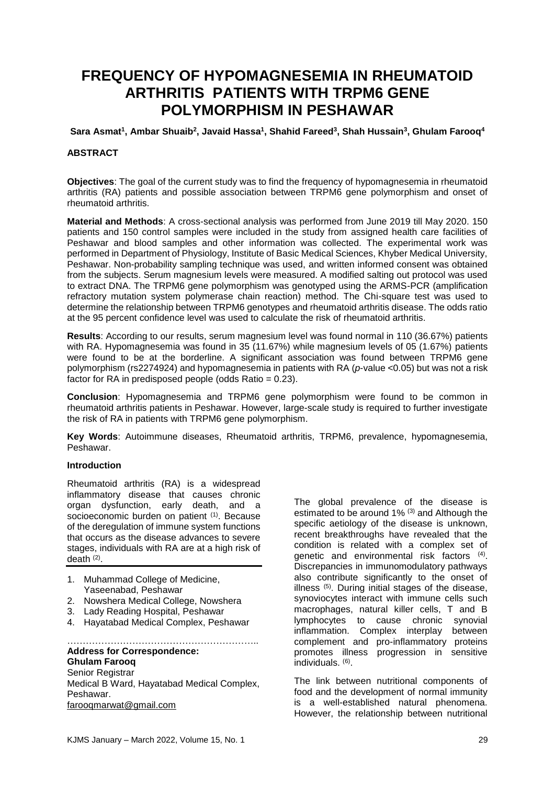# **FREQUENCY OF HYPOMAGNESEMIA IN RHEUMATOID ARTHRITIS PATIENTS WITH TRPM6 GENE POLYMORPHISM IN PESHAWAR**

**Sara Asmat<sup>1</sup> , Ambar Shuaib<sup>2</sup> , Javaid Hassa<sup>1</sup> , Shahid Fareed<sup>3</sup> , Shah Hussain<sup>3</sup> , Ghulam Farooq<sup>4</sup>**

#### **ABSTRACT**

**Objectives**: The goal of the current study was to find the frequency of hypomagnesemia in rheumatoid arthritis (RA) patients and possible association between TRPM6 gene polymorphism and onset of rheumatoid arthritis.

**Material and Methods**: A cross-sectional analysis was performed from June 2019 till May 2020. 150 patients and 150 control samples were included in the study from assigned health care facilities of Peshawar and blood samples and other information was collected. The experimental work was performed in Department of Physiology, Institute of Basic Medical Sciences, Khyber Medical University, Peshawar. Non-probability sampling technique was used, and written informed consent was obtained from the subjects. Serum magnesium levels were measured. A modified salting out protocol was used to extract DNA. The TRPM6 gene polymorphism was genotyped using the ARMS-PCR (amplification refractory mutation system polymerase chain reaction) method. The Chi-square test was used to determine the relationship between TRPM6 genotypes and rheumatoid arthritis disease. The odds ratio at the 95 percent confidence level was used to calculate the risk of rheumatoid arthritis.

**Results**: According to our results, serum magnesium level was found normal in 110 (36.67%) patients with RA. Hypomagnesemia was found in 35 (11.67%) while magnesium levels of 05 (1.67%) patients were found to be at the borderline. A significant association was found between TRPM6 gene polymorphism (rs2274924) and hypomagnesemia in patients with RA (*p*-value <0.05) but was not a risk factor for RA in predisposed people (odds Ratio  $= 0.23$ ).

**Conclusion**: Hypomagnesemia and TRPM6 gene polymorphism were found to be common in rheumatoid arthritis patients in Peshawar. However, large-scale study is required to further investigate the risk of RA in patients with TRPM6 gene polymorphism.

**Key Words**: Autoimmune diseases, Rheumatoid arthritis, TRPM6, prevalence, hypomagnesemia, Peshawar.

#### **Introduction**

Rheumatoid arthritis (RA) is a widespread inflammatory disease that causes chronic organ dysfunction, early death, and a socioeconomic burden on patient <sup>(1)</sup>. Because of the deregulation of immune system functions that occurs as the disease advances to severe stages, individuals with RA are at a high risk of death (2) .

- 1. Muhammad College of Medicine, Yaseenabad, Peshawar
- 2. Nowshera Medical College, Nowshera
- 3. Lady Reading Hospital, Peshawar
- 4. Hayatabad Medical Complex, Peshawar

#### …………………………………………………….. **Address for Correspondence: Ghulam Farooq**

Senior Registrar Medical B Ward, Hayatabad Medical Complex, Peshawar. [farooqmarwat@gmail.com](mailto:farooqmarwat@gmail.com)

The global prevalence of the disease is estimated to be around 1% (3) and Although the specific aetiology of the disease is unknown, recent breakthroughs have revealed that the condition is related with a complex set of genetic and environmental risk factors (4). Discrepancies in immunomodulatory pathways also contribute significantly to the onset of illness (5) . During initial stages of the disease, synoviocytes interact with immune cells such macrophages, natural killer cells, T and B lymphocytes to cause chronic synovial inflammation. Complex interplay between complement and pro-inflammatory proteins promotes illness progression in sensitive individuals. (6) .

The link between nutritional components of food and the development of normal immunity is a well-established natural phenomena. However, the relationship between nutritional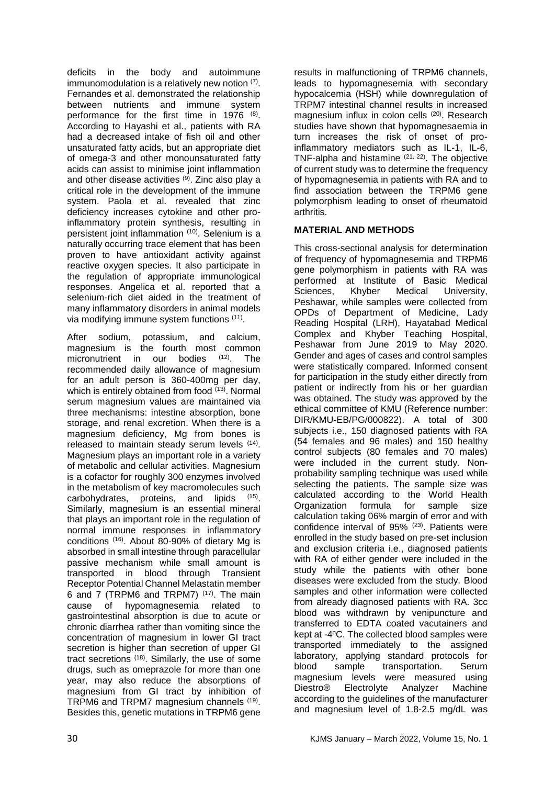deficits in the body and autoimmune immunomodulation is a relatively new notion (7). Fernandes et al. demonstrated the relationship between nutrients and immune system performance for the first time in 1976 (8). According to Hayashi et al., patients with RA had a decreased intake of fish oil and other unsaturated fatty acids, but an appropriate diet of omega-3 and other monounsaturated fatty acids can assist to minimise joint inflammation and other disease activities (9) . Zinc also play a critical role in the development of the immune system. Paola et al. revealed that zinc deficiency increases cytokine and other proinflammatory protein synthesis, resulting in persistent joint inflammation (10) . Selenium is a naturally occurring trace element that has been proven to have antioxidant activity against reactive oxygen species. It also participate in the regulation of appropriate immunological responses. Angelica et al. reported that a selenium-rich diet aided in the treatment of many inflammatory disorders in animal models via modifying immune system functions (11) .

After sodium, potassium, and calcium, magnesium is the fourth most common micronutrient in our bodies (12) . The recommended daily allowance of magnesium for an adult person is 360-400mg per day, which is entirely obtained from food <sup>(13)</sup>. Normal serum magnesium values are maintained via three mechanisms: intestine absorption, bone storage, and renal excretion. When there is a magnesium deficiency, Mg from bones is released to maintain steady serum levels <sup>(14)</sup>. Magnesium plays an important role in a variety of metabolic and cellular activities. Magnesium is a cofactor for roughly 300 enzymes involved in the metabolism of key macromolecules such carbohydrates, proteins, and lipids  $(15)$ Similarly, magnesium is an essential mineral that plays an important role in the regulation of normal immune responses in inflammatory conditions (16) . About 80-90% of dietary Mg is absorbed in small intestine through paracellular passive mechanism while small amount is transported in blood through Transient Receptor Potential Channel Melastatin member 6 and 7 (TRPM6 and TRPM7) (17). The main cause of hypomagnesemia related to gastrointestinal absorption is due to acute or chronic diarrhea rather than vomiting since the concentration of magnesium in lower GI tract secretion is higher than secretion of upper GI tract secretions (18). Similarly, the use of some drugs, such as omeprazole for more than one year, may also reduce the absorptions of magnesium from GI tract by inhibition of TRPM6 and TRPM7 magnesium channels <sup>(19)</sup>. Besides this, genetic mutations in TRPM6 gene

results in malfunctioning of TRPM6 channels, leads to hypomagnesemia with secondary hypocalcemia (HSH) while downregulation of TRPM7 intestinal channel results in increased magnesium influx in colon cells (20). Research studies have shown that hypomagnesaemia in turn increases the risk of onset of proinflammatory mediators such as IL-1, IL-6, TNF-alpha and histamine  $(21, 22)$ . The objective of current study was to determine the frequency of hypomagnesemia in patients with RA and to find association between the TRPM6 gene polymorphism leading to onset of rheumatoid arthritis.

# **MATERIAL AND METHODS**

This cross-sectional analysis for determination of frequency of hypomagnesemia and TRPM6 gene polymorphism in patients with RA was performed at Institute of Basic Medical Sciences, Khyber Medical University, Peshawar, while samples were collected from OPDs of Department of Medicine, Lady Reading Hospital (LRH), Hayatabad Medical Complex and Khyber Teaching Hospital, Peshawar from June 2019 to May 2020. Gender and ages of cases and control samples were statistically compared. Informed consent for participation in the study either directly from patient or indirectly from his or her guardian was obtained. The study was approved by the ethical committee of KMU (Reference number: DIR/KMU-EB/PG/000822). A total of 300 subjects i.e., 150 diagnosed patients with RA (54 females and 96 males) and 150 healthy control subjects (80 females and 70 males) were included in the current study. Nonprobability sampling technique was used while selecting the patients. The sample size was calculated according to the World Health Organization formula for sample size calculation taking 06% margin of error and with confidence interval of 95% (23). Patients were enrolled in the study based on pre-set inclusion and exclusion criteria i.e., diagnosed patients with RA of either gender were included in the study while the patients with other bone diseases were excluded from the study. Blood samples and other information were collected from already diagnosed patients with RA. 3cc blood was withdrawn by venipuncture and transferred to EDTA coated vacutainers and kept at -4°C. The collected blood samples were transported immediately to the assigned laboratory, applying standard protocols for blood sample transportation. Serum magnesium levels were measured using Diestro® Electrolyte Analyzer Machine according to the guidelines of the manufacturer and magnesium level of 1.8-2.5 mg/dL was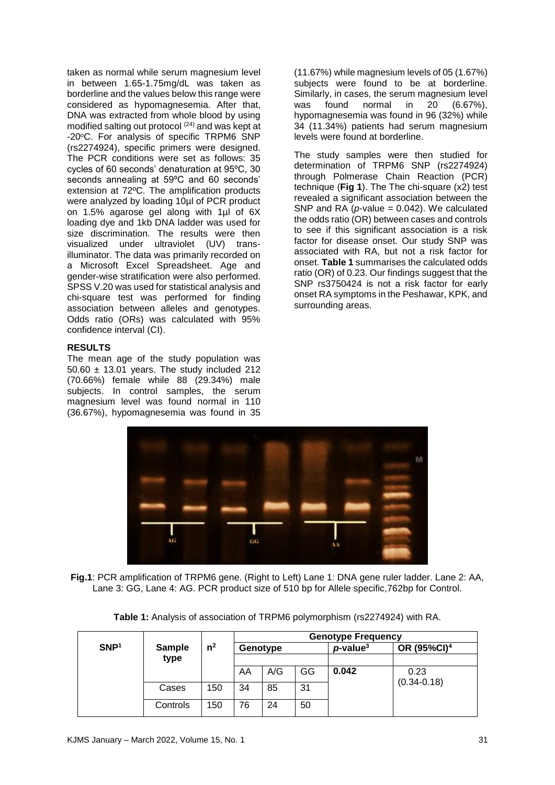taken as normal while serum magnesium level in between 1.65-1.75mg/dL was taken as borderline and the values below this range were considered as hypomagnesemia. After that, DNA was extracted from whole blood by using modified salting out protocol (24) and was kept at -20°C. For analysis of specific TRPM6 SNP (rs2274924), specific primers were designed. The PCR conditions were set as follows: 35 cycles of 60 seconds' denaturation at 95ºC, 30 seconds annealing at 59ºC and 60 seconds' extension at 72ºC. The amplification products were analyzed by loading 10ul of PCR product on 1.5% agarose gel along with 1µl of 6X loading dye and 1kb DNA ladder was used for size discrimination. The results were then visualized under ultraviolet (UV) transilluminator. The data was primarily recorded on a Microsoft Excel Spreadsheet. Age and gender-wise stratification were also performed. SPSS V.20 was used for statistical analysis and chi-square test was performed for finding association between alleles and genotypes. Odds ratio (ORs) was calculated with 95% confidence interval (CI).

# **RESULTS**

The mean age of the study population was  $50.60 \pm 13.01$  years. The study included 212 (70.66%) female while 88 (29.34%) male subjects. In control samples, the serum magnesium level was found normal in 110 (36.67%), hypomagnesemia was found in 35

(11.67%) while magnesium levels of 05 (1.67%) subjects were found to be at borderline. Similarly, in cases, the serum magnesium level was found normal in 20 (6.67%), hypomagnesemia was found in 96 (32%) while 34 (11.34%) patients had serum magnesium levels were found at borderline.

The study samples were then studied for determination of TRPM6 SNP (rs2274924) through Polmerase Chain Reaction (PCR) technique (**Fig 1**). The The chi-square (x2) test revealed a significant association between the SNP and RA  $(\rho$ -value = 0.042). We calculated the odds ratio (OR) between cases and controls to see if this significant association is a risk factor for disease onset. Our study SNP was associated with RA, but not a risk factor for onset. **Table 1** summarises the calculated odds ratio (OR) of 0.23. Our findings suggest that the SNP rs3750424 is not a risk factor for early onset RA symptoms in the Peshawar, KPK, and surrounding areas.



**Fig.1**: PCR amplification of TRPM6 gene. (Right to Left) Lane 1: DNA gene ruler ladder. Lane 2: AA, Lane 3: GG, Lane 4: AG. PCR product size of 510 bp for Allele specific,762bp for Control.

|                  |               |                | <b>Genotype Frequency</b> |     |    |                         |                         |
|------------------|---------------|----------------|---------------------------|-----|----|-------------------------|-------------------------|
| SNP <sup>1</sup> | <b>Sample</b> | n <sup>2</sup> | Genotype                  |     |    | $p$ -value <sup>3</sup> | OR (95%CI) <sup>4</sup> |
|                  | type          |                |                           |     |    |                         |                         |
|                  |               |                | AA                        | A/G | GG | 0.042                   | 0.23                    |
|                  | Cases         | 150            | 34                        | 85  | 31 |                         | $(0.34 - 0.18)$         |
|                  | Controls      | 150            | 76                        | 24  | 50 |                         |                         |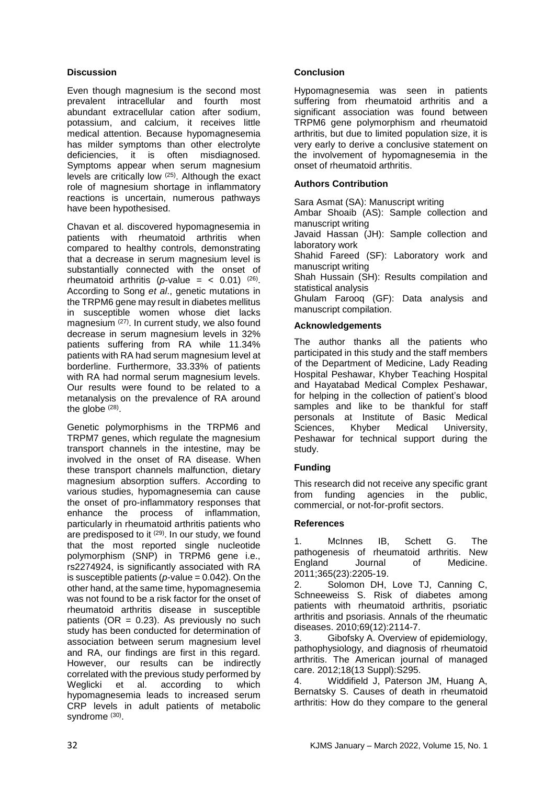# **Discussion**

Even though magnesium is the second most prevalent intracellular and fourth most abundant extracellular cation after sodium, potassium, and calcium, it receives little medical attention. Because hypomagnesemia has milder symptoms than other electrolyte deficiencies, it is often misdiagnosed. Symptoms appear when serum magnesium levels are critically low (25) . Although the exact role of magnesium shortage in inflammatory reactions is uncertain, numerous pathways have been hypothesised.

Chavan et al. discovered hypomagnesemia in patients with rheumatoid arthritis when compared to healthy controls, demonstrating that a decrease in serum magnesium level is substantially connected with the onset of rheumatoid arthritis (*p*-value =  $<$  0.01) <sup>(26)</sup>. According to Song *et al*., genetic mutations in the TRPM6 gene may result in diabetes mellitus in susceptible women whose diet lacks magnesium (27) . In current study, we also found decrease in serum magnesium levels in 32% patients suffering from RA while 11.34% patients with RA had serum magnesium level at borderline. Furthermore, 33.33% of patients with RA had normal serum magnesium levels. Our results were found to be related to a metanalysis on the prevalence of RA around the globe  $(28)$ .

Genetic polymorphisms in the TRPM6 and TRPM7 genes, which regulate the magnesium transport channels in the intestine, may be involved in the onset of RA disease. When these transport channels malfunction, dietary magnesium absorption suffers. According to various studies, hypomagnesemia can cause the onset of pro-inflammatory responses that enhance the process of inflammation, particularly in rheumatoid arthritis patients who are predisposed to it <sup>(29)</sup>. In our study, we found that the most reported single nucleotide polymorphism (SNP) in TRPM6 gene i.e., rs2274924, is significantly associated with RA is susceptible patients (*p-*value = 0.042). On the other hand, at the same time, hypomagnesemia was not found to be a risk factor for the onset of rheumatoid arthritis disease in susceptible patients  $(OR = 0.23)$ . As previously no such study has been conducted for determination of association between serum magnesium level and RA, our findings are first in this regard. However, our results can be indirectly correlated with the previous study performed by Weglicki et al. according to which hypomagnesemia leads to increased serum CRP levels in adult patients of metabolic syndrome (30).

# **Conclusion**

Hypomagnesemia was seen in patients suffering from rheumatoid arthritis and a significant association was found between TRPM6 gene polymorphism and rheumatoid arthritis, but due to limited population size, it is very early to derive a conclusive statement on the involvement of hypomagnesemia in the onset of rheumatoid arthritis.

# **Authors Contribution**

Sara Asmat (SA): Manuscript writing

Ambar Shoaib (AS): Sample collection and manuscript writing

Javaid Hassan (JH): Sample collection and laboratory work

Shahid Fareed (SF): Laboratory work and manuscript writing

Shah Hussain (SH): Results compilation and statistical analysis

Ghulam Farooq (GF): Data analysis and manuscript compilation.

# **Acknowledgements**

The author thanks all the patients who participated in this study and the staff members of the Department of Medicine, Lady Reading Hospital Peshawar, Khyber Teaching Hospital and Hayatabad Medical Complex Peshawar, for helping in the collection of patient's blood samples and like to be thankful for staff personals at Institute of Basic Medical Sciences, Khyber Medical University, Peshawar for technical support during the study.

# **Funding**

This research did not receive any specific grant from funding agencies in the public, commercial, or not-for-profit sectors.

# **References**

1. McInnes IB, Schett G. The pathogenesis of rheumatoid arthritis. New England Journal of Medicine. 2011;365(23):2205-19.

2. Solomon DH, Love TJ, Canning C, Schneeweiss S. Risk of diabetes among patients with rheumatoid arthritis, psoriatic arthritis and psoriasis. Annals of the rheumatic diseases. 2010;69(12):2114-7.

3. Gibofsky A. Overview of epidemiology, pathophysiology, and diagnosis of rheumatoid arthritis. The American journal of managed care. 2012;18(13 Suppl):S295.

4. Widdifield J, Paterson JM, Huang A, Bernatsky S. Causes of death in rheumatoid arthritis: How do they compare to the general